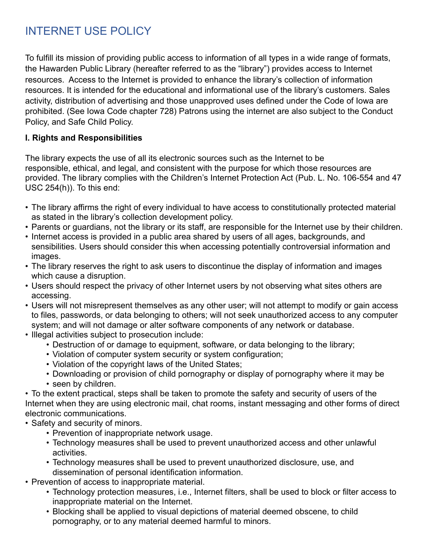## INTERNET USE POLICY

To fulfill its mission of providing public access to information of all types in a wide range of formats, the Hawarden Public Library (hereafter referred to as the "library") provides access to Internet resources. Access to the Internet is provided to enhance the library's collection of information resources. It is intended for the educational and informational use of the library's customers. Sales activity, distribution of advertising and those unapproved uses defined under the Code of Iowa are prohibited. (See Iowa Code chapter 728) Patrons using the internet are also subject to the Conduct Policy, and Safe Child Policy.

## **I. Rights and Responsibilities**

The library expects the use of all its electronic sources such as the Internet to be responsible, ethical, and legal, and consistent with the purpose for which those resources are provided. The library complies with the Children's Internet Protection Act (Pub. L. No. 106-554 and 47 USC 254(h)). To this end:

- The library affirms the right of every individual to have access to constitutionally protected material as stated in the library's collection development policy.
- Parents or guardians, not the library or its staff, are responsible for the Internet use by their children.
- Internet access is provided in a public area shared by users of all ages, backgrounds, and sensibilities. Users should consider this when accessing potentially controversial information and images.
- The library reserves the right to ask users to discontinue the display of information and images which cause a disruption.
- Users should respect the privacy of other Internet users by not observing what sites others are accessing.
- Users will not misrepresent themselves as any other user; will not attempt to modify or gain access to files, passwords, or data belonging to others; will not seek unauthorized access to any computer system; and will not damage or alter software components of any network or database.
- Illegal activities subject to prosecution include:
	- Destruction of or damage to equipment, software, or data belonging to the library;
	- Violation of computer system security or system configuration;
	- Violation of the copyright laws of the United States;
	- Downloading or provision of child pornography or display of pornography where it may be
	- seen by children.

• To the extent practical, steps shall be taken to promote the safety and security of users of the Internet when they are using electronic mail, chat rooms, instant messaging and other forms of direct electronic communications.

- Safety and security of minors.
	- Prevention of inappropriate network usage.
	- Technology measures shall be used to prevent unauthorized access and other unlawful activities.
	- Technology measures shall be used to prevent unauthorized disclosure, use, and dissemination of personal identification information.
- Prevention of access to inappropriate material.
	- Technology protection measures, i.e., Internet filters, shall be used to block or filter access to inappropriate material on the Internet.
	- Blocking shall be applied to visual depictions of material deemed obscene, to child pornography, or to any material deemed harmful to minors.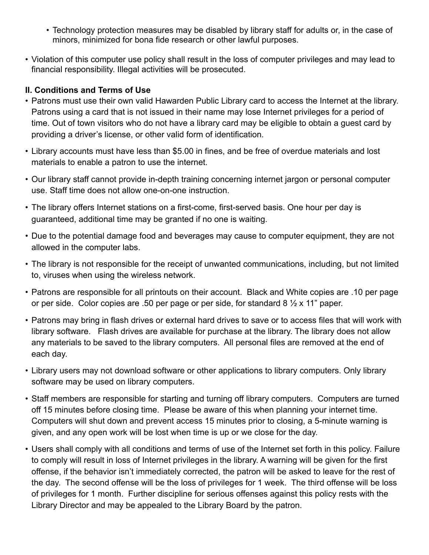- Technology protection measures may be disabled by library staff for adults or, in the case of minors, minimized for bona fide research or other lawful purposes.
- Violation of this computer use policy shall result in the loss of computer privileges and may lead to financial responsibility. Illegal activities will be prosecuted.

## **II. Conditions and Terms of Use**

- Patrons must use their own valid Hawarden Public Library card to access the Internet at the library. Patrons using a card that is not issued in their name may lose Internet privileges for a period of time. Out of town visitors who do not have a library card may be eligible to obtain a guest card by providing a driver's license, or other valid form of identification.
- Library accounts must have less than \$5.00 in fines, and be free of overdue materials and lost materials to enable a patron to use the internet.
- Our library staff cannot provide in-depth training concerning internet jargon or personal computer use. Staff time does not allow one-on-one instruction.
- The library offers Internet stations on a first-come, first-served basis. One hour per day is guaranteed, additional time may be granted if no one is waiting.
- Due to the potential damage food and beverages may cause to computer equipment, they are not allowed in the computer labs.
- The library is not responsible for the receipt of unwanted communications, including, but not limited to, viruses when using the wireless network.
- Patrons are responsible for all printouts on their account. Black and White copies are .10 per page or per side. Color copies are .50 per page or per side, for standard 8  $\frac{1}{2}$  x 11" paper.
- Patrons may bring in flash drives or external hard drives to save or to access files that will work with library software. Flash drives are available for purchase at the library. The library does not allow any materials to be saved to the library computers. All personal files are removed at the end of each day.
- Library users may not download software or other applications to library computers. Only library software may be used on library computers.
- Staff members are responsible for starting and turning off library computers. Computers are turned off 15 minutes before closing time. Please be aware of this when planning your internet time. Computers will shut down and prevent access 15 minutes prior to closing, a 5-minute warning is given, and any open work will be lost when time is up or we close for the day.
- Users shall comply with all conditions and terms of use of the Internet set forth in this policy. Failure to comply will result in loss of Internet privileges in the library. A warning will be given for the first offense, if the behavior isn't immediately corrected, the patron will be asked to leave for the rest of the day. The second offense will be the loss of privileges for 1 week. The third offense will be loss of privileges for 1 month. Further discipline for serious offenses against this policy rests with the Library Director and may be appealed to the Library Board by the patron.